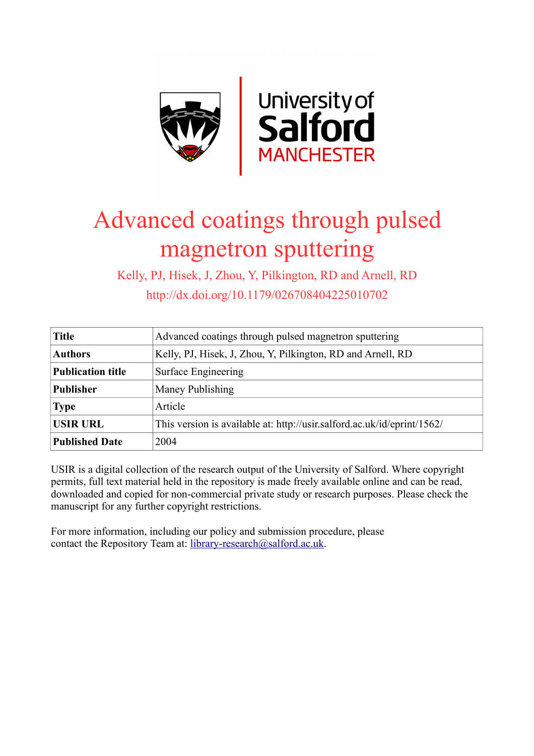

# Advanced coatings through pulsed magnetron sputtering

Kelly, PJ, Hisek, J, Zhou, Y, Pilkington, RD and Arnell, RD http://dx.doi.org/10.1179/026708404225010702

| <b>Title</b>             | Advanced coatings through pulsed magnetron sputtering                   |
|--------------------------|-------------------------------------------------------------------------|
| <b>Authors</b>           | Kelly, PJ, Hisek, J, Zhou, Y, Pilkington, RD and Arnell, RD             |
| <b>Publication title</b> | Surface Engineering                                                     |
| <b>Publisher</b>         | Maney Publishing                                                        |
| <b>Type</b>              | Article                                                                 |
| <b>USIR URL</b>          | This version is available at: http://usir.salford.ac.uk/id/eprint/1562/ |
| <b>Published Date</b>    | 2004                                                                    |

USIR is a digital collection of the research output of the University of Salford. Where copyright permits, full text material held in the repository is made freely available online and can be read, downloaded and copied for non-commercial private study or research purposes. Please check the manuscript for any further copyright restrictions.

For more information, including our policy and submission procedure, please contact the Repository Team at: [library-research@salford.ac.uk.](mailto:library-research@salford.ac.uk)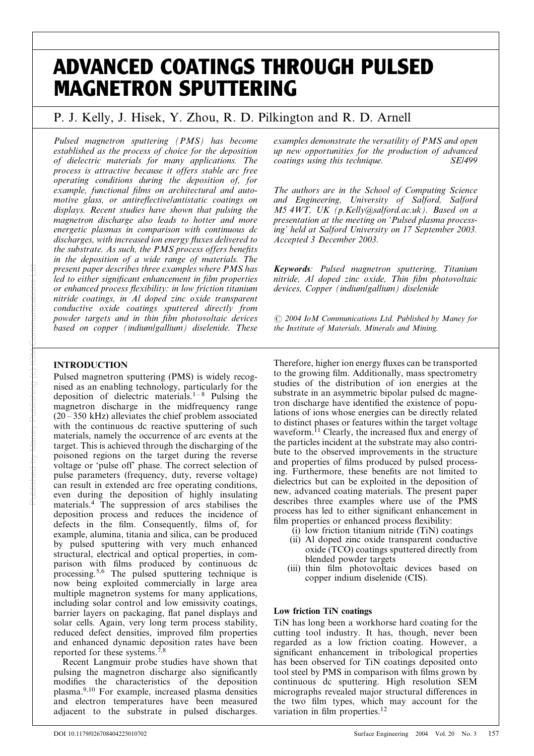## ADVANCED COATINGS THROUGH PULSED MAGNETRON SPUTTERING

### P. J. Kelly, J. Hisek, Y. Zhou, R. D. Pilkington and R. D. Arnell

Pulsed magnetron sputtering (PMS) has become established as the process of choice for the deposition of dielectric materials for many applications. The process is attractive because it offers stable arc free operating conditions during the deposition of, for example, functional films on architectural and automotive glass, or antireflective/antistatic coatings on displays. Recent studies have shown that pulsing the magnetron discharge also leads to hotter and more energetic plasmas in comparison with continuous dc discharges, with increased ion energy fluxes delivered to the substrate. As such, the PMS process offers benefits in the deposition of a wide range of materials. The present paper describes three examples where PMS has led to either significant enhancement in film properties or enhanced process flexibility: in low friction titanium nitride coatings, in Al doped zinc oxide transparent conductive oxide coatings sputtered directly from powder targets and in thin film photovoltaic devices based on copper (indium/gallium) diselenide. These

#### INTRODUCTION

Pulsed magnetron sputtering (PMS) is widely recognised as an enabling technology, particularly for the deposition of dielectric materials.<sup>1–8</sup> Pulsing the magnetron discharge in the midfrequency range  $(20-350 \text{ kHz})$  alleviates the chief problem associated with the continuous dc reactive sputtering of such materials, namely the occurrence of arc events at the target. This is achieved through the discharging of the poisoned regions on the target during the reverse voltage or 'pulse off' phase. The correct selection of pulse parameters (frequency, duty, reverse voltage) can result in extended arc free operating conditions, even during the deposition of highly insulating materials.<sup>4</sup> The suppression of arcs stabilises the deposition process and reduces the incidence of defects in the film. Consequently, films of, for example, alumina, titania and silica, can be produced by pulsed sputtering with very much enhanced structural, electrical and optical properties, in comparison with films produced by continuous dc processing.5,6 The pulsed sputtering technique is now being exploited commercially in large area multiple magnetron systems for many applications, including solar control and low emissivity coatings, barrier layers on packaging, flat panel displays and solar cells. Again, very long term process stability, reduced defect densities, improved film properties and enhanced dynamic deposition rates have been reported for these systems.7,8

Recent Langmuir probe studies have shown that pulsing the magnetron discharge also significantly modifies the characteristics of the deposition plasma.9,10 For example, increased plasma densities and electron temperatures have been measured adjacent to the substrate in pulsed discharges.

examples demonstrate the versatility of PMS and open up new opportunities for the production of advanced coatings using this technique.

The authors are in the School of Computing Science and Engineering, University of Salford, Salford M5 4WT, UK (p.Kelly@salford.ac.uk). Based on a presentation at the meeting on 'Pulsed plasma processing' held at Salford University on 17 September 2003. Accepted 3 December 2003.

Keywords: Pulsed magnetron sputtering, Titanium nitride, Al doped zinc oxide, Thin film photovoltaic devices, Copper (indium/gallium) diselenide

 $O$  2004 IoM Communications Ltd. Published by Maney for the Institute of Materials, Minerals and Mining.

Therefore, higher ion energy fluxes can be transported to the growing film. Additionally, mass spectrometry studies of the distribution of ion energies at the substrate in an asymmetric bipolar pulsed dc magnetron discharge have identified the existence of populations of ions whose energies can be directly related to distinct phases or features within the target voltage waveform.<sup>11</sup> Clearly, the increased flux and energy of the particles incident at the substrate may also contribute to the observed improvements in the structure and properties of films produced by pulsed processing. Furthermore, these benefits are not limited to dielectrics but can be exploited in the deposition of new, advanced coating materials. The present paper describes three examples where use of the PMS process has led to either significant enhancement in film properties or enhanced process flexibility:

- (i) low friction titanium nitride (TiN) coatings
- (ii) Al doped zinc oxide transparent conductive oxide (TCO) coatings sputtered directly from blended powder targets
- (iii) thin film photovoltaic devices based on copper indium diselenide (CIS).

#### Low friction TiN coatings

TiN has long been a workhorse hard coating for the cutting tool industry. It has, though, never been regarded as a low friction coating. However, a significant enhancement in tribological properties has been observed for TiN coatings deposited onto tool steel by PMS in comparison with films grown by continuous dc sputtering. High resolution SEM micrographs revealed major structural differences in the two film types, which may account for the variation in film properties.<sup>12</sup>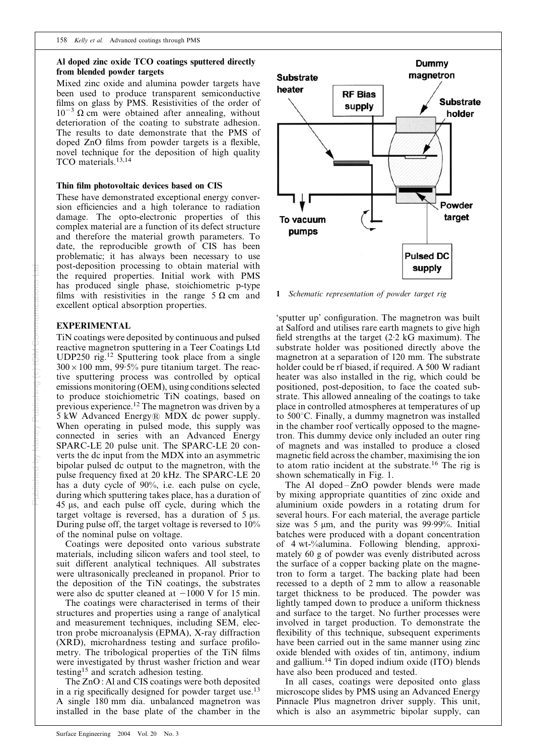#### Al doped zinc oxide TCO coatings sputtered directly from blended powder targets

Mixed zinc oxide and alumina powder targets have been used to produce transparent semiconductive films on glass by PMS. Resistivities of the order of  $10^{-3}$   $\Omega$  cm were obtained after annealing, without deterioration of the coating to substrate adhesion. The results to date demonstrate that the PMS of doped ZnO films from powder targets is a flexible, novel technique for the deposition of high quality TCO materials.<sup>13,14</sup>

#### Thin film photovoltaic devices based on CIS

These have demonstrated exceptional energy conversion efficiencies and a high tolerance to radiation damage. The opto-electronic properties of this complex material are a function of its defect structure and therefore the material growth parameters. To date, the reproducible growth of CIS has been problematic; it has always been necessary to use post-deposition processing to obtain material with the required properties. Initial work with PMS has produced single phase, stoichiometric p-type films with resistivities in the range  $5 \Omega \text{ cm}$  and excellent optical absorption properties.

#### EXPERIMENTAL

TiN coatings were deposited by continuous and pulsed reactive magnetron sputtering in a Teer Coatings Ltd UDP250 rig.<sup>12</sup> Sputtering took place from a single  $300 \times 100$  mm, 99.5% pure titanium target. The reactive sputtering process was controlled by optical emissions monitoring (OEM), using conditions selected to produce stoichiometric TiN coatings, based on previous experience.<sup>12</sup> The magnetron was driven by a 5 kW Advanced Energy<sup>®</sup> MDX dc power supply. When operating in pulsed mode, this supply was connected in series with an Advanced Energy SPARC-LE 20 pulse unit. The SPARC-LE 20 converts the dc input from the MDX into an asymmetric bipolar pulsed dc output to the magnetron, with the pulse frequency fixed at 20 kHz. The SPARC-LE 20 has a duty cycle of 90%, i.e. each pulse on cycle, during which sputtering takes place, has a duration of 45 ms, and each pulse off cycle, during which the target voltage is reversed, has a duration of  $5 \mu s$ . During pulse off, the target voltage is reversed to 10% of the nominal pulse on voltage.

Coatings were deposited onto various substrate materials, including silicon wafers and tool steel, to suit different analytical techniques. All substrates were ultrasonically precleaned in propanol. Prior to the deposition of the TiN coatings, the substrates were also dc sputter cleaned at  $-1000$  V for 15 min.

The coatings were characterised in terms of their structures and properties using a range of analytical and measurement techniques, including SEM, electron probe microanalysis (EPMA), X-ray diffraction (XRD), microhardness testing and surface profilometry. The tribological properties of the TiN films were investigated by thrust washer friction and wear testing<sup>15</sup> and scratch adhesion testing.

The ZnO : Al and CIS coatings were both deposited in a rig specifically designed for powder target use.<sup>13</sup> A single 180 mm dia. unbalanced magnetron was installed in the base plate of the chamber in the



1 Schematic representation of powder target rig

'sputter up' configuration. The magnetron was built at Salford and utilises rare earth magnets to give high field strengths at the target (2. 2 kG maximum). The substrate holder was positioned directly above the magnetron at a separation of 120 mm. The substrate holder could be rf biased, if required. A 500 W radiant heater was also installed in the rig, which could be positioned, post-deposition, to face the coated substrate. This allowed annealing of the coatings to take place in controlled atmospheres at temperatures of up to  $500^{\circ}$ C. Finally, a dummy magnetron was installed in the chamber roof vertically opposed to the magnetron. This dummy device only included an outer ring of magnets and was installed to produce a closed magnetic field across the chamber, maximising the ion to atom ratio incident at the substrate.<sup>16</sup> The rig is shown schematically in Fig. 1.

The Al doped-ZnO powder blends were made by mixing appropriate quantities of zinc oxide and aluminium oxide powders in a rotating drum for several hours. For each material, the average particle size was 5  $\mu$ m, and the purity was 99.99%. Initial batches were produced with a dopant concentration of 4 wt-%alumina. Following blending, approximately 60 g of powder was evenly distributed across the surface of a copper backing plate on the magnetron to form a target. The backing plate had been recessed to a depth of 2 mm to allow a reasonable target thickness to be produced. The powder was lightly tamped down to produce a uniform thickness and surface to the target. No further processes were involved in target production. To demonstrate the flexibility of this technique, subsequent experiments have been carried out in the same manner using zinc oxide blended with oxides of tin, antimony, indium and gallium.<sup>14</sup> Tin doped indium oxide (ITO) blends have also been produced and tested.

In all cases, coatings were deposited onto glass microscope slides by PMS using an Advanced Energy Pinnacle Plus magnetron driver supply. This unit, which is also an asymmetric bipolar supply, can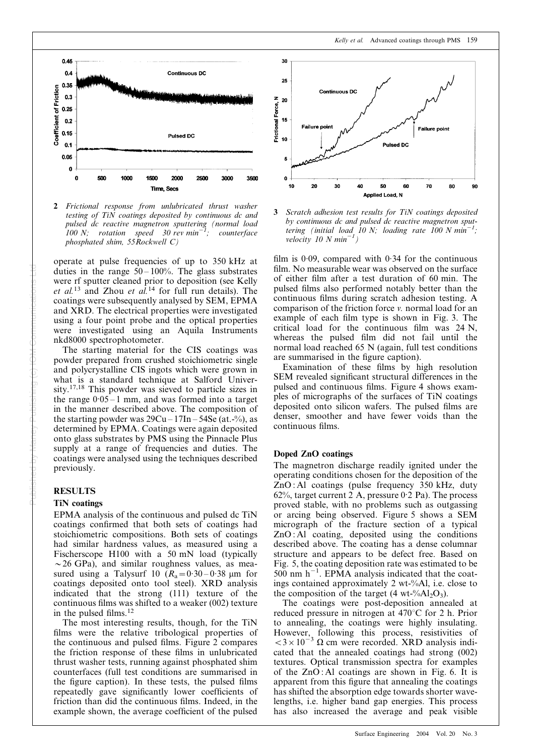

2 Frictional response from unlubricated thrust washer testing of TiN coatings deposited by continuous dc and pulsed dc reactive magnetron sputtering (normal load 100 N; rotation speed 30 rev  $min^{-1}$ ; counterface phosphated shim, 55Rockwell C)

operate at pulse frequencies of up to 350 kHz at duties in the range  $50 - 100\%$ . The glass substrates were rf sputter cleaned prior to deposition (see Kelly et al.<sup>13</sup> and Zhou et al.<sup>14</sup> for full run details). The coatings were subsequently analysed by SEM, EPMA and XRD. The electrical properties were investigated using a four point probe and the optical properties were investigated using an Aquila Instruments nkd8000 spectrophotometer.

The starting material for the CIS coatings was powder prepared from crushed stoichiometric single and polycrystalline CIS ingots which were grown in what is a standard technique at Salford University.17,18 This powder was sieved to particle sizes in the range  $0.05 - 1$  mm, and was formed into a target in the manner described above. The composition of the starting powder was  $29Cu - 17In - 54Se$  (at.-%), as determined by EPMA. Coatings were again deposited onto glass substrates by PMS using the Pinnacle Plus supply at a range of frequencies and duties. The coatings were analysed using the techniques described previously.

#### RESULTS

#### TiN coatings

EPMA analysis of the continuous and pulsed dc TiN coatings confirmed that both sets of coatings had stoichiometric compositions. Both sets of coatings had similar hardness values, as measured using a Fischerscope H100 with a 50 mN load (typically  $\sim$ 26 GPa), and similar roughness values, as measured using a Talysurf 10  $(R_a = 0.30 - 0.38 \text{ }\mu\text{m}$  for coatings deposited onto tool steel). XRD analysis indicated that the strong (111) texture of the continuous films was shifted to a weaker (002) texture in the pulsed films. $12$ 

The most interesting results, though, for the TiN films were the relative tribological properties of the continuous and pulsed films. Figure 2 compares the friction response of these films in unlubricated thrust washer tests, running against phosphated shim counterfaces (full test conditions are summarised in the figure caption). In these tests, the pulsed films repeatedly gave significantly lower coefficients of friction than did the continuous films. Indeed, in the example shown, the average coefficient of the pulsed



3 Scratch adhesion test results for TiN coatings deposited by continuous dc and pulsed dc reactive magnetron sputtering (initial load 10 N; loading rate 100 N min<sup>-1</sup> ; velocity 10 N min<sup>-1</sup>)

film is  $0.09$ , compared with  $0.34$  for the continuous film. No measurable wear was observed on the surface of either film after a test duration of 60 min. The pulsed films also performed notably better than the continuous films during scratch adhesion testing. A comparison of the friction force v. normal load for an example of each film type is shown in Fig. 3. The critical load for the continuous film was 24 N, whereas the pulsed film did not fail until the normal load reached 65 N (again, full test conditions are summarised in the figure caption).

Examination of these films by high resolution SEM revealed significant structural differences in the pulsed and continuous films. Figure 4 shows examples of micrographs of the surfaces of TiN coatings deposited onto silicon wafers. The pulsed films are denser, smoother and have fewer voids than the continuous films.

#### Doped ZnO coatings

The magnetron discharge readily ignited under the operating conditions chosen for the deposition of the ZnO : Al coatings (pulse frequency 350 kHz, duty 62%, target current 2 A, pressure 0. 2 Pa). The process proved stable, with no problems such as outgassing or arcing being observed. Figure 5 shows a SEM micrograph of the fracture section of a typical ZnO : Al coating, deposited using the conditions described above. The coating has a dense columnar structure and appears to be defect free. Based on Fig. 5, the coating deposition rate was estimated to be  $500$  nm  $h^-$ . EPMA analysis indicated that the coatings contained approximately 2 wt-%Al, i.e. close to the composition of the target  $(4 \text{ wt} \text{-} \% \text{Al}_2\text{O}_3)$ .

The coatings were post-deposition annealed at reduced pressure in nitrogen at  $470^{\circ}$ C for 2 h. Prior to annealing, the coatings were highly insulating. However, following this process, resistivities of  $<$ 3 × 10<sup>-3</sup>  $\Omega$  cm were recorded. XRD analysis indicated that the annealed coatings had strong (002) textures. Optical transmission spectra for examples of the ZnO : Al coatings are shown in Fig. 6. It is apparent from this figure that annealing the coatings has shifted the absorption edge towards shorter wavelengths, i.e. higher band gap energies. This process has also increased the average and peak visible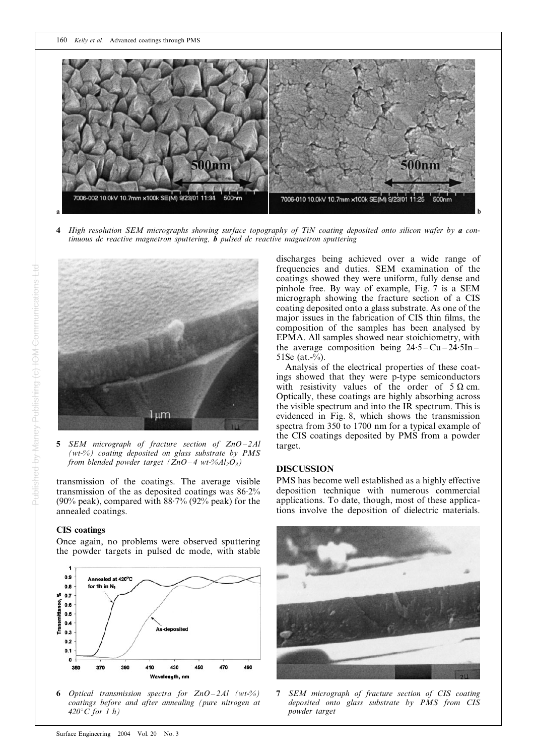

High resolution SEM micrographs showing surface topography of TiN coating deposited onto silicon wafer by a continuous dc reactive magnetron sputtering,  **pulsed dc reactive magnetron sputtering** 



5 SEM micrograph of fracture section of  $ZnO-2Al$  $(wt-\%)$  coating deposited on glass substrate by PMS from blended powder target (ZnO – 4 wt-% $Al_2O_3$ )

transmission of the coatings. The average visible transmission of the as deposited coatings was 86. 2% (90% peak), compared with 88. 7% (92% peak) for the annealed coatings.

#### CIS coatings

Once again, no problems were observed sputtering the powder targets in pulsed dc mode, with stable



6 Optical transmission spectra for  $ZnO-2Al$  (wt-%) coatings before and after annealing (pure nitrogen at 420 $\degree$ C for 1 h)

discharges being achieved over a wide range of frequencies and duties. SEM examination of the coatings showed they were uniform, fully dense and pinhole free. By way of example, Fig. 7 is a SEM micrograph showing the fracture section of a CIS coating deposited onto a glass substrate. As one of the major issues in the fabrication of CIS thin films, the composition of the samples has been analysed by EPMA. All samples showed near stoichiometry, with the average composition being  $24.5 - Cu - 24.5In$ 51Se (at.-%).

Analysis of the electrical properties of these coatings showed that they were p-type semiconductors with resistivity values of the order of  $5 \Omega$  cm. Optically, these coatings are highly absorbing across the visible spectrum and into the IR spectrum. This is evidenced in Fig. 8, which shows the transmission spectra from 350 to 1700 nm for a typical example of the CIS coatings deposited by PMS from a powder target.

#### DISCUSSION

PMS has become well established as a highly effective deposition technique with numerous commercial applications. To date, though, most of these applications involve the deposition of dielectric materials.



7 SEM micrograph of fracture section of CIS coating deposited onto glass substrate by PMS from CIS powder target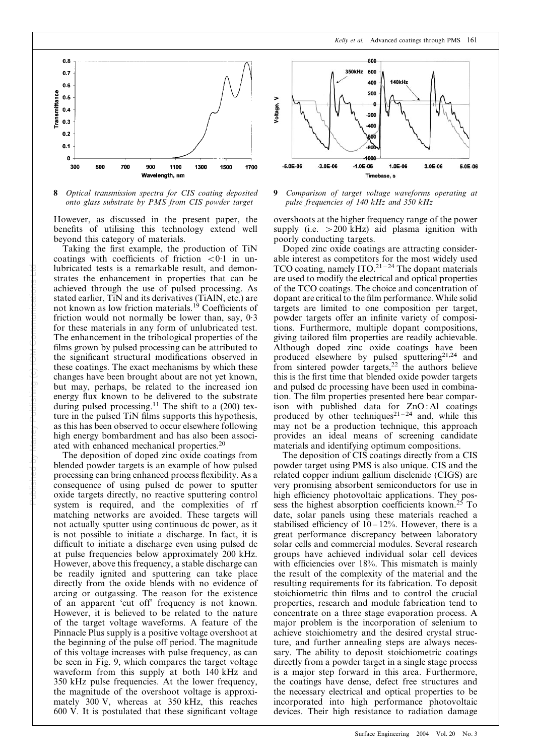



However, as discussed in the present paper, the benefits of utilising this technology extend well beyond this category of materials.

Taking the first example, the production of TiN coatings with coefficients of friction  $\lt 0.1$  in unlubricated tests is a remarkable result, and demonstrates the enhancement in properties that can be achieved through the use of pulsed processing. As stated earlier, TiN and its derivatives (TiAlN, etc.) are not known as low friction materials.19 Coefficients of friction would not normally be lower than, say, 0. 3 for these materials in any form of unlubricated test. The enhancement in the tribological properties of the films grown by pulsed processing can be attributed to the significant structural modifications observed in these coatings. The exact mechanisms by which these changes have been brought about are not yet known, but may, perhaps, be related to the increased ion energy flux known to be delivered to the substrate during pulsed processing.<sup>11</sup> The shift to a  $(200)$  texture in the pulsed TiN films supports this hypothesis, as this has been observed to occur elsewhere following high energy bombardment and has also been associated with enhanced mechanical properties.<sup>20</sup>

The deposition of doped zinc oxide coatings from blended powder targets is an example of how pulsed processing can bring enhanced process flexibility. As a consequence of using pulsed dc power to sputter oxide targets directly, no reactive sputtering control system is required, and the complexities of rf matching networks are avoided. These targets will not actually sputter using continuous dc power, as it is not possible to initiate a discharge. In fact, it is difficult to initiate a discharge even using pulsed dc at pulse frequencies below approximately 200 kHz. However, above this frequency, a stable discharge can be readily ignited and sputtering can take place directly from the oxide blends with no evidence of arcing or outgassing. The reason for the existence of an apparent 'cut off' frequency is not known. However, it is believed to be related to the nature of the target voltage waveforms. A feature of the Pinnacle Plus supply is a positive voltage overshoot at the beginning of the pulse off period. The magnitude of this voltage increases with pulse frequency, as can be seen in Fig. 9, which compares the target voltage waveform from this supply at both 140 kHz and 350 kHz pulse frequencies. At the lower frequency, the magnitude of the overshoot voltage is approximately 300 V, whereas at 350 kHz, this reaches 600 V. It is postulated that these significant voltage



Comparison of target voltage waveforms operating at pulse frequencies of 140 kHz and 350 kHz

overshoots at the higher frequency range of the power supply (i.e.  $>200$  kHz) aid plasma ignition with poorly conducting targets.

Doped zinc oxide coatings are attracting considerable interest as competitors for the most widely used TCO coating, namely  $\text{ITO.}^{21-24}$  The dopant materials are used to modify the electrical and optical properties of the TCO coatings. The choice and concentration of dopant are critical to the film performance. While solid targets are limited to one composition per target, powder targets offer an infinite variety of compositions. Furthermore, multiple dopant compositions, giving tailored film properties are readily achievable. Although doped zinc oxide coatings have been produced elsewhere by pulsed sputtering<sup>21,24</sup> and from sintered powder targets, $22$  the authors believe this is the first time that blended oxide powder targets and pulsed dc processing have been used in combination. The film properties presented here bear comparison with published data for ZnO : Al coatings produced by other techniques<sup>21-24</sup> and, while this may not be a production technique, this approach provides an ideal means of screening candidate materials and identifying optimum compositions.

The deposition of CIS coatings directly from a CIS powder target using PMS is also unique. CIS and the related copper indium gallium diselenide (CIGS) are very promising absorbent semiconductors for use in high efficiency photovoltaic applications. They possess the highest absorption coefficients known.<sup>25</sup> To date, solar panels using these materials reached a stabilised efficiency of  $10-12%$ . However, there is a great performance discrepancy between laboratory solar cells and commercial modules. Several research groups have achieved individual solar cell devices with efficiencies over 18%. This mismatch is mainly the result of the complexity of the material and the resulting requirements for its fabrication. To deposit stoichiometric thin films and to control the crucial properties, research and module fabrication tend to concentrate on a three stage evaporation process. A major problem is the incorporation of selenium to achieve stoichiometry and the desired crystal structure, and further annealing steps are always necessary. The ability to deposit stoichiometric coatings directly from a powder target in a single stage process is a major step forward in this area. Furthermore, the coatings have dense, defect free structures and the necessary electrical and optical properties to be incorporated into high performance photovoltaic devices. Their high resistance to radiation damage